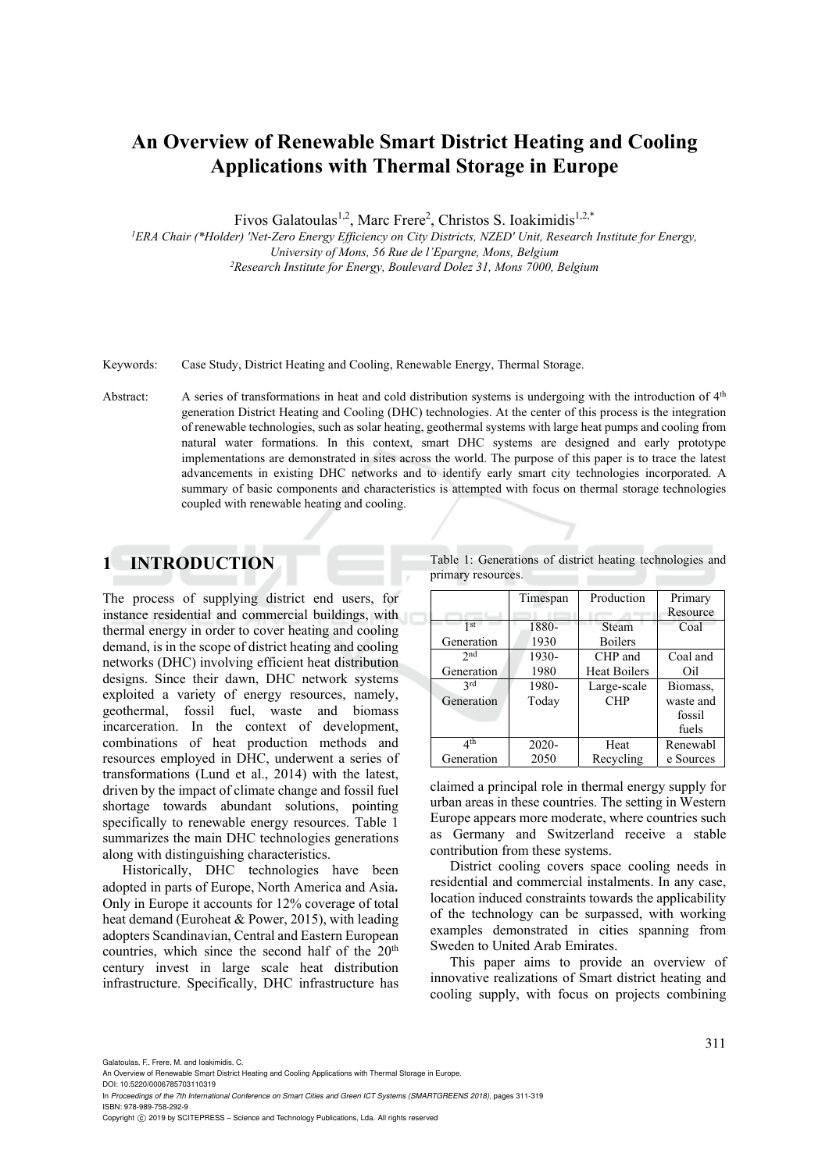# **An Overview of Renewable Smart District Heating and Cooling Applications with Thermal Storage in Europe**

Fivos Galatoulas<sup>1,2</sup>, Marc Frere<sup>2</sup>, Christos S. Ioakimidis<sup>1,2,\*</sup>

*1 ERA Chair (\*Holder) 'Net-Zero Energy Efficiency on City Districts, NZED' Unit, Research Institute for Energy, University of Mons, 56 Rue de l'Epargne, Mons, Belgium 2Research Institute for Energy, Boulevard Dolez 31, Mons 7000, Belgium* 

Keywords: Case Study, District Heating and Cooling, Renewable Energy, Thermal Storage.

Abstract: A series of transformations in heat and cold distribution systems is undergoing with the introduction of 4<sup>th</sup> generation District Heating and Cooling (DHC) technologies. At the center of this process is the integration of renewable technologies, such as solar heating, geothermal systems with large heat pumps and cooling from natural water formations. In this context, smart DHC systems are designed and early prototype implementations are demonstrated in sites across the world. The purpose of this paper is to trace the latest advancements in existing DHC networks and to identify early smart city technologies incorporated. A summary of basic components and characteristics is attempted with focus on thermal storage technologies coupled with renewable heating and cooling.

# **1 INTRODUCTION**

The process of supplying district end users, for instance residential and commercial buildings, with thermal energy in order to cover heating and cooling demand, is in the scope of district heating and cooling networks (DHC) involving efficient heat distribution designs. Since their dawn, DHC network systems exploited a variety of energy resources, namely, geothermal, fossil fuel, waste and biomass incarceration. In the context of development, combinations of heat production methods and resources employed in DHC, underwent a series of transformations (Lund et al., 2014) with the latest, driven by the impact of climate change and fossil fuel shortage towards abundant solutions, pointing specifically to renewable energy resources. Table 1 summarizes the main DHC technologies generations along with distinguishing characteristics.

Historically, DHC technologies have been adopted in parts of Europe, North America and Asia. Only in Europe it accounts for 12% coverage of total heat demand (Euroheat & Power, 2015), with leading adopters Scandinavian, Central and Eastern European countries, which since the second half of the 20<sup>th</sup> century invest in large scale heat distribution infrastructure. Specifically, DHC infrastructure has Table 1: Generations of district heating technologies and primary resources.

|                   | Timespan       | Production                | Primary<br>Resource                      |
|-------------------|----------------|---------------------------|------------------------------------------|
| 1 st              | 1880-          | Steam                     | Coal                                     |
| Generation        | 1930           | <b>Boilers</b>            |                                          |
| 2nd               | 1930-          | CHP and                   | Coal and                                 |
| Generation        | 1980           | <b>Heat Boilers</b>       | Oil                                      |
| 2rd<br>Generation | 1980-<br>Today | Large-scale<br><b>CHP</b> | Biomass,<br>waste and<br>fossil<br>fuels |
| ⊿th               | $2020 -$       | Heat                      | Renewabl                                 |
| Generation        | 2050           | Recycling                 | e Sources                                |

claimed a principal role in thermal energy supply for urban areas in these countries. The setting in Western Europe appears more moderate, where countries such as Germany and Switzerland receive a stable contribution from these systems.

District cooling covers space cooling needs in residential and commercial instalments. In any case, location induced constraints towards the applicability of the technology can be surpassed, with working examples demonstrated in cities spanning from Sweden to United Arab Emirates.

This paper aims to provide an overview of innovative realizations of Smart district heating and cooling supply, with focus on projects combining

Galatoulas, F., Frere, M. and Ioakimidis, C.

In *Proceedings of the 7th International Conference on Smart Cities and Green ICT Systems (SMARTGREENS 2018)*, pages 311-319 ISBN: 978-989-758-292-9

Copyright © 2019 by SCITEPRESS - Science and Technology Publications, Lda. All rights reserved

An Overview of Renewable Smart District Heating and Cooling Applications with Thermal Storage in Europe. DOI: 10.5220/0006785703110319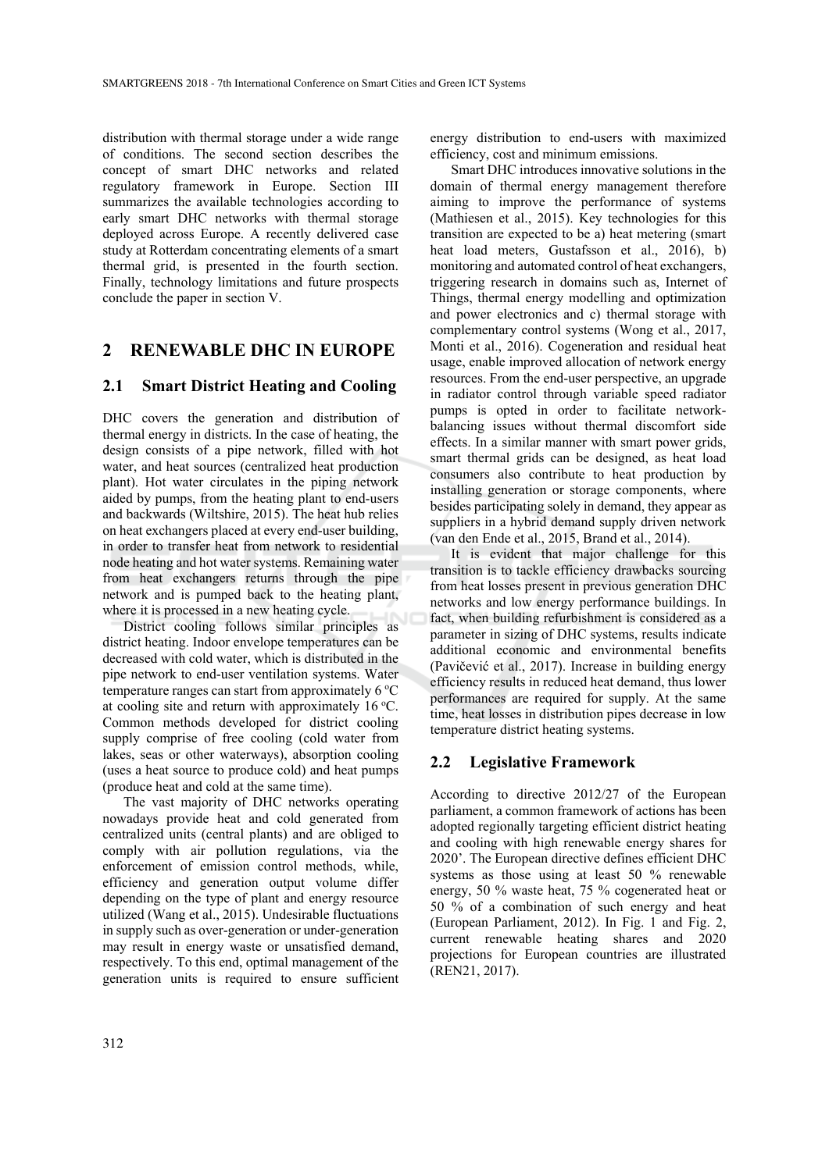distribution with thermal storage under a wide range of conditions. The second section describes the concept of smart DHC networks and related regulatory framework in Europe. Section III summarizes the available technologies according to early smart DHC networks with thermal storage deployed across Europe. A recently delivered case study at Rotterdam concentrating elements of a smart thermal grid, is presented in the fourth section. Finally, technology limitations and future prospects conclude the paper in section V.

## **2 RENEWABLE DHC IN EUROPE**

#### **2.1 Smart District Heating and Cooling**

DHC covers the generation and distribution of thermal energy in districts. In the case of heating, the design consists of a pipe network, filled with hot water, and heat sources (centralized heat production plant). Hot water circulates in the piping network aided by pumps, from the heating plant to end-users and backwards (Wiltshire, 2015). The heat hub relies on heat exchangers placed at every end-user building, in order to transfer heat from network to residential node heating and hot water systems. Remaining water from heat exchangers returns through the pipe network and is pumped back to the heating plant, where it is processed in a new heating cycle.

District cooling follows similar principles as district heating. Indoor envelope temperatures can be decreased with cold water, which is distributed in the pipe network to end-user ventilation systems. Water temperature ranges can start from approximately  $6^{\circ}$ C at cooling site and return with approximately  $16^{\circ}$ C. Common methods developed for district cooling supply comprise of free cooling (cold water from lakes, seas or other waterways), absorption cooling (uses a heat source to produce cold) and heat pumps (produce heat and cold at the same time).

The vast majority of DHC networks operating nowadays provide heat and cold generated from centralized units (central plants) and are obliged to comply with air pollution regulations, via the enforcement of emission control methods, while, efficiency and generation output volume differ depending on the type of plant and energy resource utilized (Wang et al., 2015). Undesirable fluctuations in supply such as over-generation or under-generation may result in energy waste or unsatisfied demand, respectively. To this end, optimal management of the generation units is required to ensure sufficient

energy distribution to end-users with maximized efficiency, cost and minimum emissions.

Smart DHC introduces innovative solutions in the domain of thermal energy management therefore aiming to improve the performance of systems (Mathiesen et al., 2015). Key technologies for this transition are expected to be a) heat metering (smart heat load meters, Gustafsson et al., 2016), b) monitoring and automated control of heat exchangers, triggering research in domains such as, Internet of Things, thermal energy modelling and optimization and power electronics and c) thermal storage with complementary control systems (Wong et al., 2017, Monti et al., 2016). Cogeneration and residual heat usage, enable improved allocation of network energy resources. From the end-user perspective, an upgrade in radiator control through variable speed radiator pumps is opted in order to facilitate networkbalancing issues without thermal discomfort side effects. In a similar manner with smart power grids, smart thermal grids can be designed, as heat load consumers also contribute to heat production by installing generation or storage components, where besides participating solely in demand, they appear as suppliers in a hybrid demand supply driven network (van den Ende et al., 2015, Brand et al., 2014).

It is evident that major challenge for this transition is to tackle efficiency drawbacks sourcing from heat losses present in previous generation DHC networks and low energy performance buildings. In fact, when building refurbishment is considered as a parameter in sizing of DHC systems, results indicate additional economic and environmental benefits (Pavičević et al., 2017). Increase in building energy efficiency results in reduced heat demand, thus lower performances are required for supply. At the same time, heat losses in distribution pipes decrease in low temperature district heating systems.

#### **2.2 Legislative Framework**

According to directive 2012/27 of the European parliament, a common framework of actions has been adopted regionally targeting efficient district heating and cooling with high renewable energy shares for 2020'. The European directive defines efficient DHC systems as those using at least 50 % renewable energy, 50 % waste heat, 75 % cogenerated heat or 50 % of a combination of such energy and heat (European Parliament, 2012). In Fig. 1 and Fig. 2, current renewable heating shares and 2020 projections for European countries are illustrated (REN21, 2017).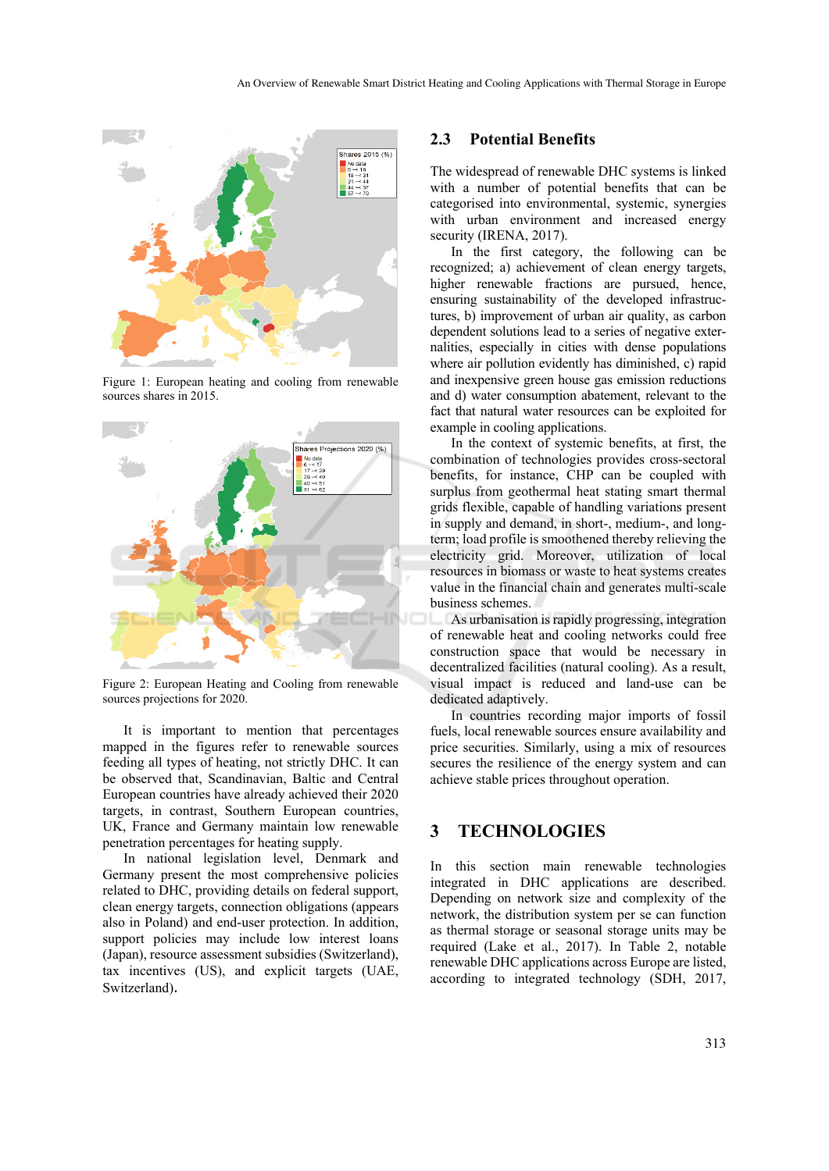

Figure 1: European heating and cooling from renewable sources shares in 2015.



Figure 2: European Heating and Cooling from renewable sources projections for 2020.

It is important to mention that percentages mapped in the figures refer to renewable sources feeding all types of heating, not strictly DHC. It can be observed that, Scandinavian, Baltic and Central European countries have already achieved their 2020 targets, in contrast, Southern European countries, UK, France and Germany maintain low renewable penetration percentages for heating supply.

In national legislation level, Denmark and Germany present the most comprehensive policies related to DHC, providing details on federal support, clean energy targets, connection obligations (appears also in Poland) and end-user protection. In addition, support policies may include low interest loans (Japan), resource assessment subsidies (Switzerland), tax incentives (US), and explicit targets (UAE, Switzerland).

#### **2.3 Potential Benefits**

The widespread of renewable DHC systems is linked with a number of potential benefits that can be categorised into environmental, systemic, synergies with urban environment and increased energy security (IRENA, 2017).

In the first category, the following can be recognized; a) achievement of clean energy targets, higher renewable fractions are pursued, hence, ensuring sustainability of the developed infrastructures, b) improvement of urban air quality, as carbon dependent solutions lead to a series of negative externalities, especially in cities with dense populations where air pollution evidently has diminished, c) rapid and inexpensive green house gas emission reductions and d) water consumption abatement, relevant to the fact that natural water resources can be exploited for example in cooling applications.

In the context of systemic benefits, at first, the combination of technologies provides cross-sectoral benefits, for instance, CHP can be coupled with surplus from geothermal heat stating smart thermal grids flexible, capable of handling variations present in supply and demand, in short-, medium-, and longterm; load profile is smoothened thereby relieving the electricity grid. Moreover, utilization of local resources in biomass or waste to heat systems creates value in the financial chain and generates multi-scale business schemes.

As urbanisation is rapidly progressing, integration of renewable heat and cooling networks could free construction space that would be necessary in decentralized facilities (natural cooling). As a result, visual impact is reduced and land-use can be dedicated adaptively.

In countries recording major imports of fossil fuels, local renewable sources ensure availability and price securities. Similarly, using a mix of resources secures the resilience of the energy system and can achieve stable prices throughout operation.

### **3 TECHNOLOGIES**

this section main renewable technologies integrated in DHC applications are described. Depending on network size and complexity of the network, the distribution system per se can function as thermal storage or seasonal storage units may be required (Lake et al., 2017). In Table 2, notable renewable DHC applications across Europe are listed, according to integrated technology (SDH, 2017,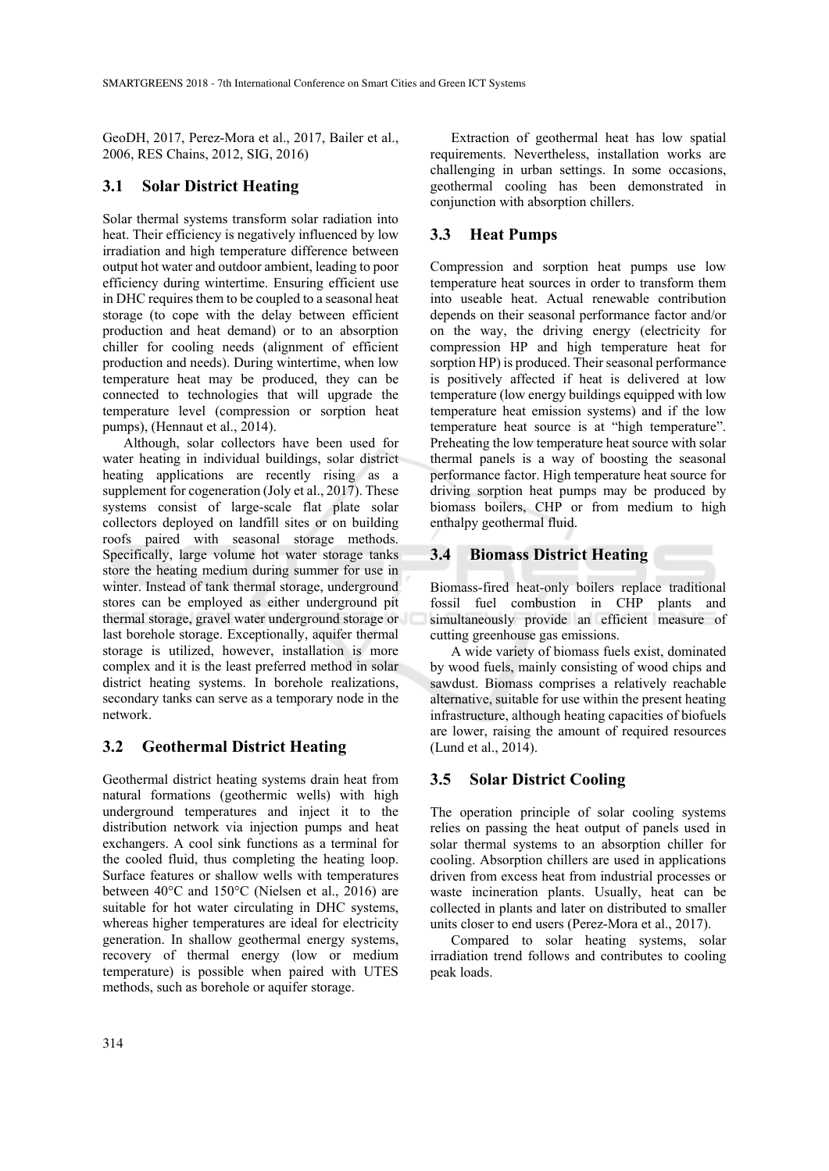GeoDH, 2017, Perez-Mora et al., 2017, Bailer et al., 2006, RES Chains, 2012, SIG, 2016)

# **3.1 Solar District Heating**

Solar thermal systems transform solar radiation into heat. Their efficiency is negatively influenced by low irradiation and high temperature difference between output hot water and outdoor ambient, leading to poor efficiency during wintertime. Ensuring efficient use in DHC requires them to be coupled to a seasonal heat storage (to cope with the delay between efficient production and heat demand) or to an absorption chiller for cooling needs (alignment of efficient production and needs). During wintertime, when low temperature heat may be produced, they can be connected to technologies that will upgrade the temperature level (compression or sorption heat pumps), (Hennaut et al., 2014).

Although, solar collectors have been used for water heating in individual buildings, solar district heating applications are recently rising as a supplement for cogeneration (Joly et al., 2017). These systems consist of large-scale flat plate solar collectors deployed on landfill sites or on building roofs paired with seasonal storage methods. Specifically, large volume hot water storage tanks store the heating medium during summer for use in winter. Instead of tank thermal storage, underground stores can be employed as either underground pit thermal storage, gravel water underground storage or last borehole storage. Exceptionally, aquifer thermal storage is utilized, however, installation is more complex and it is the least preferred method in solar district heating systems. In borehole realizations, secondary tanks can serve as a temporary node in the network.

# **3.2 Geothermal District Heating**

Geothermal district heating systems drain heat from natural formations (geothermic wells) with high underground temperatures and inject it to the distribution network via injection pumps and heat exchangers. A cool sink functions as a terminal for the cooled fluid, thus completing the heating loop. Surface features or shallow wells with temperatures between 40°C and 150°C (Nielsen et al., 2016) are suitable for hot water circulating in DHC systems, whereas higher temperatures are ideal for electricity generation. In shallow geothermal energy systems, recovery of thermal energy (low or medium temperature) is possible when paired with UTES methods, such as borehole or aquifer storage.

Extraction of geothermal heat has low spatial requirements. Nevertheless, installation works are challenging in urban settings. In some occasions, geothermal cooling has been demonstrated in conjunction with absorption chillers.

# **3.3 Heat Pumps**

Compression and sorption heat pumps use low temperature heat sources in order to transform them into useable heat. Actual renewable contribution depends on their seasonal performance factor and/or on the way, the driving energy (electricity for compression HP and high temperature heat for sorption HP) is produced. Their seasonal performance is positively affected if heat is delivered at low temperature (low energy buildings equipped with low temperature heat emission systems) and if the low temperature heat source is at "high temperature". Preheating the low temperature heat source with solar thermal panels is a way of boosting the seasonal performance factor. High temperature heat source for driving sorption heat pumps may be produced by biomass boilers, CHP or from medium to high enthalpy geothermal fluid.

# **3.4 Biomass District Heating**

Biomass-fired heat-only boilers replace traditional fossil fuel combustion in CHP plants and simultaneously provide an efficient measure of cutting greenhouse gas emissions.

A wide variety of biomass fuels exist, dominated by wood fuels, mainly consisting of wood chips and sawdust. Biomass comprises a relatively reachable alternative, suitable for use within the present heating infrastructure, although heating capacities of biofuels are lower, raising the amount of required resources (Lund et al., 2014).

# **3.5 Solar District Cooling**

The operation principle of solar cooling systems relies on passing the heat output of panels used in solar thermal systems to an absorption chiller for cooling. Absorption chillers are used in applications driven from excess heat from industrial processes or waste incineration plants. Usually, heat can be collected in plants and later on distributed to smaller units closer to end users (Perez-Mora et al., 2017).

Compared to solar heating systems, solar irradiation trend follows and contributes to cooling peak loads.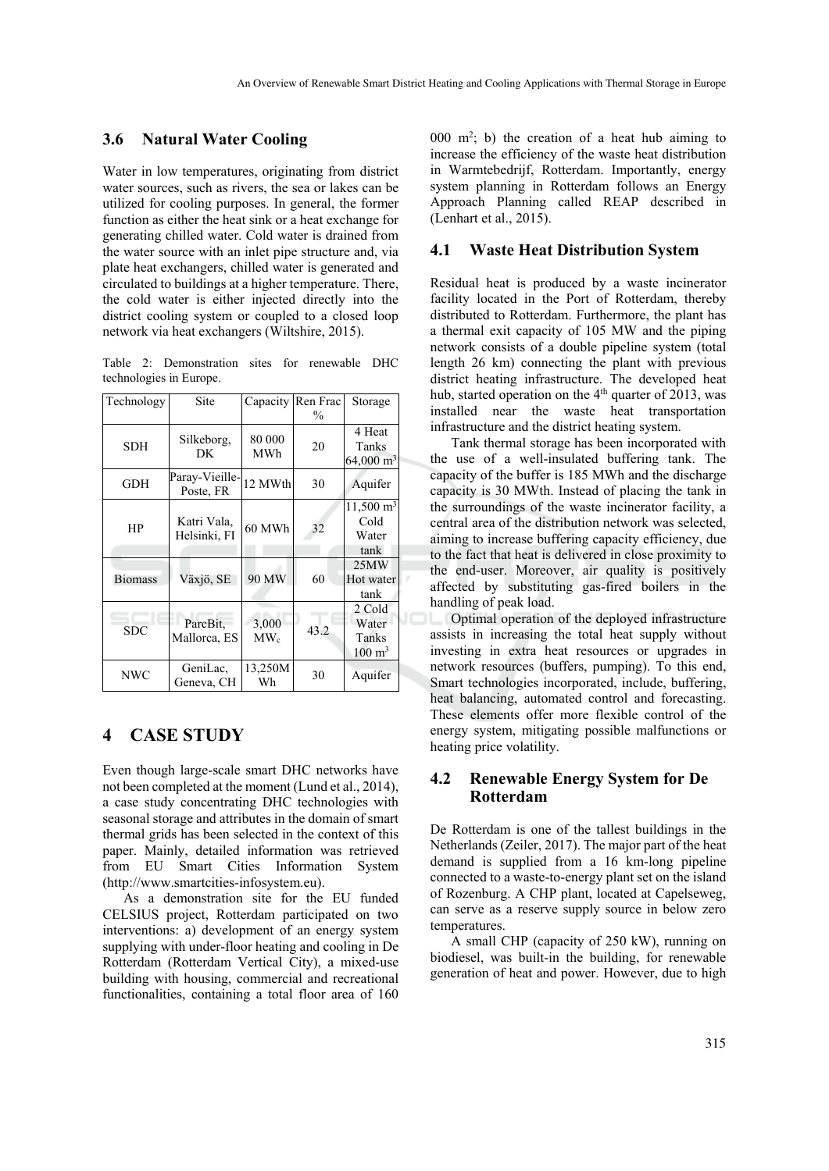#### **3.6 Natural Water Cooling**

Water in low temperatures, originating from district water sources, such as rivers, the sea or lakes can be utilized for cooling purposes. In general, the former function as either the heat sink or a heat exchange for generating chilled water. Cold water is drained from the water source with an inlet pipe structure and, via plate heat exchangers, chilled water is generated and circulated to buildings at a higher temperature. There, the cold water is either injected directly into the district cooling system or coupled to a closed loop network via heat exchangers (Wiltshire, 2015).

Table 2: Demonstration sites for renewable DHC technologies in Europe.

| Technology     | Site                        | Capacity          | Ren Frac      | Storage                                           |
|----------------|-----------------------------|-------------------|---------------|---------------------------------------------------|
|                |                             |                   | $\frac{0}{0}$ |                                                   |
| SDH            | Silkeborg,<br>DK            | 80 000<br>MWh     | 20            | 4 Heat<br>Tanks<br>$64,000 \text{ m}^3$           |
| <b>GDH</b>     | Paray-Vieille-<br>Poste, FR | 12 MWth           | 30            | Aquifer                                           |
| HP             | Katri Vala,<br>Helsinki, FI | 60 MWh            | 32            | $11,500 \text{ m}^3$<br>Cold<br>Water<br>tank     |
| <b>Biomass</b> | Växjö, SE                   | 90 MW             | 60            | 25MW<br>Hot water<br>tank                         |
| <b>SDC</b>     | ParcBit.<br>Mallorca, ES    | 3,000<br>$MW_{c}$ | 43.2          | 2 Cold<br>Water<br>Tanks<br>$100 \; \mathrm{m}^3$ |
| <b>NWC</b>     | GeniLac,<br>Geneva, CH      | 13,250M<br>Wh     | 30            | Aquifer                                           |

### **4 CASE STUDY**

Even though large-scale smart DHC networks have not been completed at the moment (Lund et al., 2014), a case study concentrating DHC technologies with seasonal storage and attributes in the domain of smart thermal grids has been selected in the context of this paper. Mainly, detailed information was retrieved from EU Smart Cities Information System (http://www.smartcities-infosystem.eu).

As a demonstration site for the EU funded CELSIUS project, Rotterdam participated on two interventions: a) development of an energy system supplying with under-floor heating and cooling in De Rotterdam (Rotterdam Vertical City), a mixed-use building with housing, commercial and recreational functionalities, containing a total floor area of 160

000  $m^2$ ; b) the creation of a heat hub aiming to increase the efficiency of the waste heat distribution in Warmtebedrijf, Rotterdam. Importantly, energy system planning in Rotterdam follows an Energy Approach Planning called REAP described in (Lenhart et al., 2015).

#### **4.1 Waste Heat Distribution System**

Residual heat is produced by a waste incinerator facility located in the Port of Rotterdam, thereby distributed to Rotterdam. Furthermore, the plant has a thermal exit capacity of 105 MW and the piping network consists of a double pipeline system (total length 26 km) connecting the plant with previous district heating infrastructure. The developed heat hub, started operation on the  $4<sup>th</sup>$  quarter of 2013, was installed near the waste heat transportation infrastructure and the district heating system.

Tank thermal storage has been incorporated with the use of a well-insulated buffering tank. The capacity of the buffer is 185 MWh and the discharge capacity is 30 MWth. Instead of placing the tank in the surroundings of the waste incinerator facility, a central area of the distribution network was selected, aiming to increase buffering capacity efficiency, due to the fact that heat is delivered in close proximity to the end-user. Moreover, air quality is positively affected by substituting gas-fired boilers in the handling of peak load.

**Coptimal operation of the deployed infrastructure** assists in increasing the total heat supply without investing in extra heat resources or upgrades in network resources (buffers, pumping). To this end, Smart technologies incorporated, include, buffering, heat balancing, automated control and forecasting. These elements offer more flexible control of the energy system, mitigating possible malfunctions or heating price volatility.

### **4.2 Renewable Energy System for De Rotterdam**

De Rotterdam is one of the tallest buildings in the Netherlands (Zeiler, 2017). The major part of the heat demand is supplied from a 16 km-long pipeline connected to a waste-to-energy plant set on the island of Rozenburg. A CHP plant, located at Capelseweg, can serve as a reserve supply source in below zero temperatures.

A small CHP (capacity of 250 kW), running on biodiesel, was built-in the building, for renewable generation of heat and power. However, due to high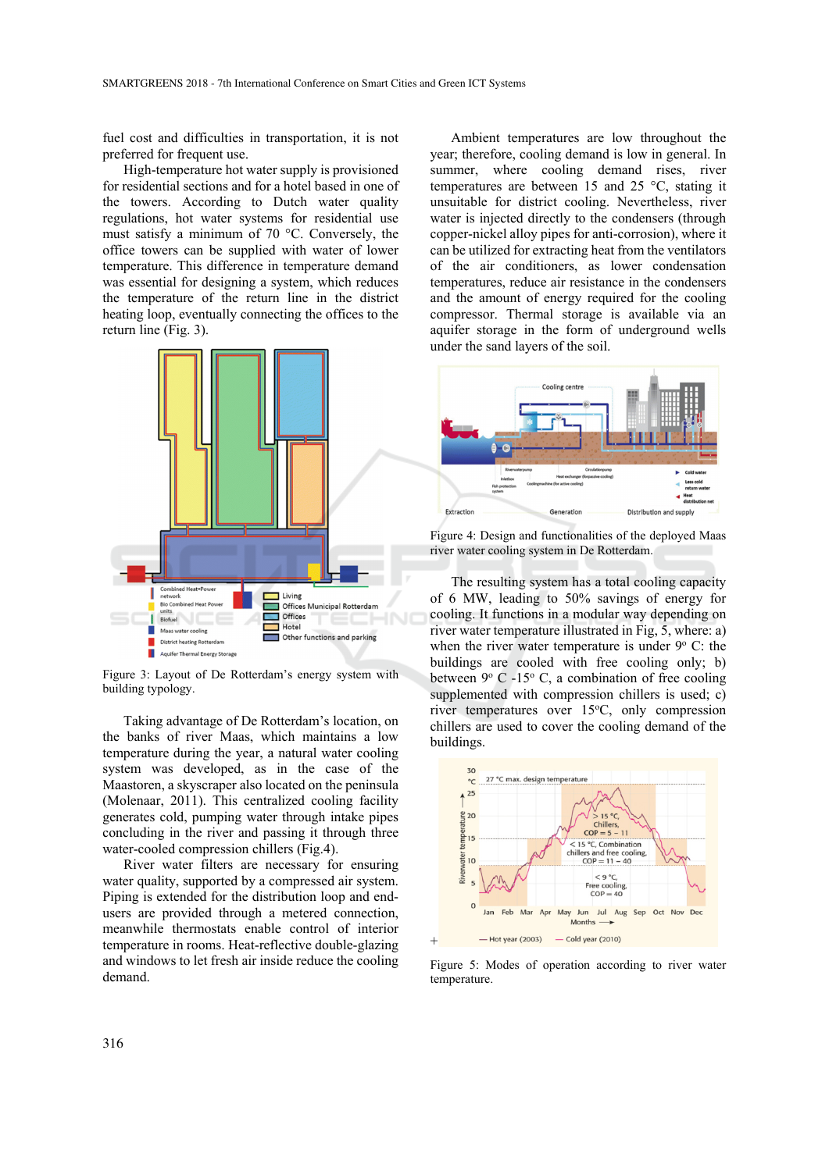fuel cost and difficulties in transportation, it is not preferred for frequent use.

High-temperature hot water supply is provisioned for residential sections and for a hotel based in one of the towers. According to Dutch water quality regulations, hot water systems for residential use must satisfy a minimum of 70 °C. Conversely, the office towers can be supplied with water of lower temperature. This difference in temperature demand was essential for designing a system, which reduces the temperature of the return line in the district heating loop, eventually connecting the offices to the return line (Fig. 3).



Figure 3: Layout of De Rotterdam's energy system with building typology.

Taking advantage of De Rotterdam's location, on the banks of river Maas, which maintains a low temperature during the year, a natural water cooling system was developed, as in the case of the Maastoren, a skyscraper also located on the peninsula (Molenaar, 2011). This centralized cooling facility generates cold, pumping water through intake pipes concluding in the river and passing it through three water-cooled compression chillers (Fig.4).

River water filters are necessary for ensuring water quality, supported by a compressed air system. Piping is extended for the distribution loop and endusers are provided through a metered connection, meanwhile thermostats enable control of interior temperature in rooms. Heat-reflective double-glazing and windows to let fresh air inside reduce the cooling demand.

Ambient temperatures are low throughout the year; therefore, cooling demand is low in general. In summer, where cooling demand rises, river temperatures are between 15 and 25 °C, stating it unsuitable for district cooling. Nevertheless, river water is injected directly to the condensers (through copper-nickel alloy pipes for anti-corrosion), where it can be utilized for extracting heat from the ventilators of the air conditioners, as lower condensation temperatures, reduce air resistance in the condensers and the amount of energy required for the cooling compressor. Thermal storage is available via an aquifer storage in the form of underground wells under the sand layers of the soil.



Figure 4: Design and functionalities of the deployed Maas river water cooling system in De Rotterdam.

The resulting system has a total cooling capacity of 6 MW, leading to 50% savings of energy for cooling. It functions in a modular way depending on river water temperature illustrated in Fig, 5, where: a) when the river water temperature is under  $9^{\circ}$  C: the buildings are cooled with free cooling only; b) between  $9^{\circ}$  C -15° C, a combination of free cooling supplemented with compression chillers is used; c) river temperatures over 15°C, only compression chillers are used to cover the cooling demand of the buildings.



Figure 5: Modes of operation according to river water temperature.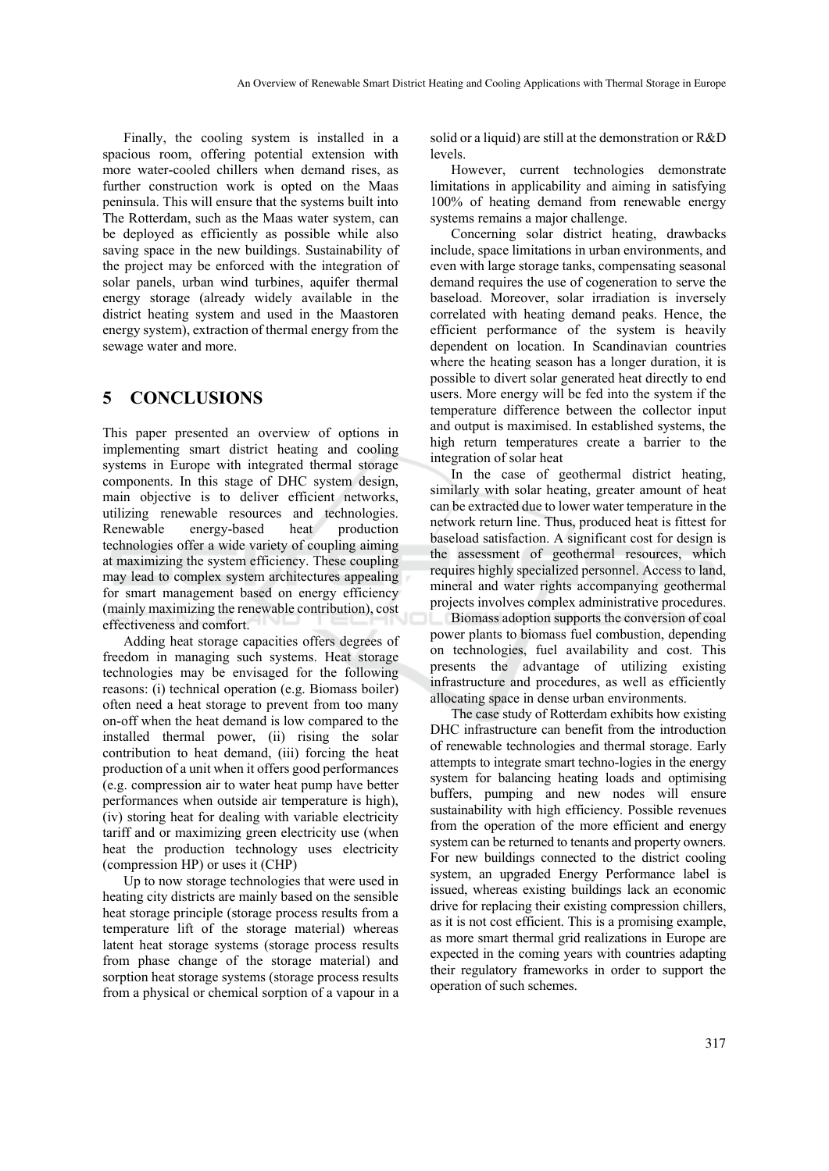Finally, the cooling system is installed in a spacious room, offering potential extension with more water-cooled chillers when demand rises, as further construction work is opted on the Maas peninsula. This will ensure that the systems built into The Rotterdam, such as the Maas water system, can be deployed as efficiently as possible while also saving space in the new buildings. Sustainability of the project may be enforced with the integration of solar panels, urban wind turbines, aquifer thermal energy storage (already widely available in the district heating system and used in the Maastoren energy system), extraction of thermal energy from the sewage water and more.

# **5 CONCLUSIONS**

This paper presented an overview of options in implementing smart district heating and cooling systems in Europe with integrated thermal storage components. In this stage of DHC system design, main objective is to deliver efficient networks, utilizing renewable resources and technologies.<br>Renewable energy-based heat production Renewable energy-based heat production technologies offer a wide variety of coupling aiming at maximizing the system efficiency. These coupling may lead to complex system architectures appealing for smart management based on energy efficiency (mainly maximizing the renewable contribution), cost effectiveness and comfort.

Adding heat storage capacities offers degrees of freedom in managing such systems. Heat storage technologies may be envisaged for the following reasons: (i) technical operation (e.g. Biomass boiler) often need a heat storage to prevent from too many on-off when the heat demand is low compared to the installed thermal power, (ii) rising the solar contribution to heat demand, (iii) forcing the heat production of a unit when it offers good performances (e.g. compression air to water heat pump have better performances when outside air temperature is high), (iv) storing heat for dealing with variable electricity tariff and or maximizing green electricity use (when heat the production technology uses electricity (compression HP) or uses it (CHP)

Up to now storage technologies that were used in heating city districts are mainly based on the sensible heat storage principle (storage process results from a temperature lift of the storage material) whereas latent heat storage systems (storage process results from phase change of the storage material) and sorption heat storage systems (storage process results from a physical or chemical sorption of a vapour in a

solid or a liquid) are still at the demonstration or R&D levels.

However, current technologies demonstrate limitations in applicability and aiming in satisfying 100% of heating demand from renewable energy systems remains a major challenge.

Concerning solar district heating, drawbacks include, space limitations in urban environments, and even with large storage tanks, compensating seasonal demand requires the use of cogeneration to serve the baseload. Moreover, solar irradiation is inversely correlated with heating demand peaks. Hence, the efficient performance of the system is heavily dependent on location. In Scandinavian countries where the heating season has a longer duration, it is possible to divert solar generated heat directly to end users. More energy will be fed into the system if the temperature difference between the collector input and output is maximised. In established systems, the high return temperatures create a barrier to the integration of solar heat

In the case of geothermal district heating, similarly with solar heating, greater amount of heat can be extracted due to lower water temperature in the network return line. Thus, produced heat is fittest for baseload satisfaction. A significant cost for design is the assessment of geothermal resources, which requires highly specialized personnel. Access to land, mineral and water rights accompanying geothermal projects involves complex administrative procedures.

Biomass adoption supports the conversion of coal power plants to biomass fuel combustion, depending on technologies, fuel availability and cost. This presents the advantage of utilizing existing infrastructure and procedures, as well as efficiently allocating space in dense urban environments.

The case study of Rotterdam exhibits how existing DHC infrastructure can benefit from the introduction of renewable technologies and thermal storage. Early attempts to integrate smart techno-logies in the energy system for balancing heating loads and optimising buffers, pumping and new nodes will ensure sustainability with high efficiency. Possible revenues from the operation of the more efficient and energy system can be returned to tenants and property owners. For new buildings connected to the district cooling system, an upgraded Energy Performance label is issued, whereas existing buildings lack an economic drive for replacing their existing compression chillers, as it is not cost efficient. This is a promising example, as more smart thermal grid realizations in Europe are expected in the coming years with countries adapting their regulatory frameworks in order to support the operation of such schemes.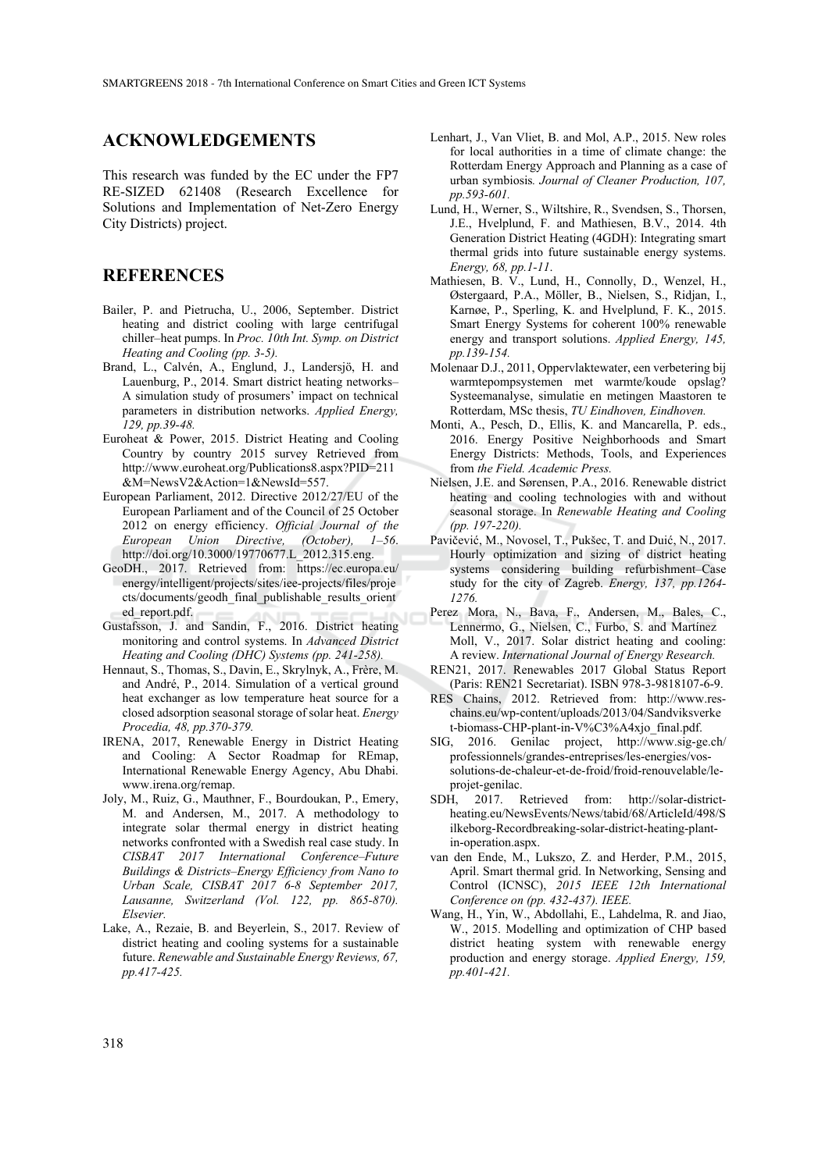## **ACKNOWLEDGEMENTS**

This research was funded by the EC under the FP7 RE-SIZED 621408 (Research Excellence for Solutions and Implementation of Net-Zero Energy City Districts) project.

## **REFERENCES**

- Bailer, P. and Pietrucha, U., 2006, September. District heating and district cooling with large centrifugal chiller–heat pumps. In *Proc. 10th Int. Symp. on District Heating and Cooling (pp. 3-5).*
- Brand, L., Calvén, A., Englund, J., Landersjö, H. and Lauenburg, P., 2014. Smart district heating networks– A simulation study of prosumers' impact on technical parameters in distribution networks. *Applied Energy, 129, pp.39-48.*
- Euroheat & Power, 2015. District Heating and Cooling Country by country 2015 survey Retrieved from http://www.euroheat.org/Publications8.aspx?PID=211 &M=NewsV2&Action=1&NewsId=557.
- European Parliament, 2012. Directive 2012/27/EU of the European Parliament and of the Council of 25 October 2012 on energy efficiency. *Official Journal of the European Union Directive, (October), 1–56*. http://doi.org/10.3000/19770677.L\_2012.315.eng.
- GeoDH., 2017. Retrieved from: https://ec.europa.eu/ energy/intelligent/projects/sites/iee-projects/files/proje cts/documents/geodh\_final\_publishable\_results\_orient ed\_report.pdf.
- Gustafsson, J. and Sandin, F., 2016. District heating monitoring and control systems. In *Advanced District Heating and Cooling (DHC) Systems (pp. 241-258).*
- Hennaut, S., Thomas, S., Davin, E., Skrylnyk, A., Frère, M. and André, P., 2014. Simulation of a vertical ground heat exchanger as low temperature heat source for a closed adsorption seasonal storage of solar heat. *Energy Procedia, 48, pp.370-379.*
- IRENA, 2017, Renewable Energy in District Heating and Cooling: A Sector Roadmap for REmap, International Renewable Energy Agency, Abu Dhabi. www.irena.org/remap.
- Joly, M., Ruiz, G., Mauthner, F., Bourdoukan, P., Emery, M. and Andersen, M., 2017. A methodology to integrate solar thermal energy in district heating networks confronted with a Swedish real case study. In *CISBAT 2017 International Conference–Future Buildings & Districts–Energy Efficiency from Nano to Urban Scale, CISBAT 2017 6-8 September 2017, Lausanne, Switzerland (Vol. 122, pp. 865-870). Elsevier.*
- Lake, A., Rezaie, B. and Beyerlein, S., 2017. Review of district heating and cooling systems for a sustainable future. *Renewable and Sustainable Energy Reviews, 67, pp.417-425.*
- Lenhart, J., Van Vliet, B. and Mol, A.P., 2015. New roles for local authorities in a time of climate change: the Rotterdam Energy Approach and Planning as a case of urban symbiosis*. Journal of Cleaner Production, 107, pp.593-601.*
- Lund, H., Werner, S., Wiltshire, R., Svendsen, S., Thorsen, J.E., Hvelplund, F. and Mathiesen, B.V., 2014. 4th Generation District Heating (4GDH): Integrating smart thermal grids into future sustainable energy systems. *Energy, 68, pp.1-11*.
- Mathiesen, B. V., Lund, H., Connolly, D., Wenzel, H., Østergaard, P.A., Möller, B., Nielsen, S., Ridjan, I., Karnøe, P., Sperling, K. and Hvelplund, F. K., 2015. Smart Energy Systems for coherent 100% renewable energy and transport solutions. *Applied Energy, 145, pp.139-154.*
- Molenaar D.J., 2011, Oppervlaktewater, een verbetering bij warmtepompsystemen met warmte/koude opslag? Systeemanalyse, simulatie en metingen Maastoren te Rotterdam, MSc thesis, *TU Eindhoven, Eindhoven.*
- Monti, A., Pesch, D., Ellis, K. and Mancarella, P. eds., 2016. Energy Positive Neighborhoods and Smart Energy Districts: Methods, Tools, and Experiences from *the Field. Academic Press.*
- Nielsen, J.E. and Sørensen, P.A., 2016. Renewable district heating and cooling technologies with and without seasonal storage. In *Renewable Heating and Cooling (pp. 197-220).*
- Pavičević, M., Novosel, T., Pukšec, T. and Duić, N., 2017. Hourly optimization and sizing of district heating systems considering building refurbishment–Case study for the city of Zagreb. *Energy, 137, pp.1264- 1276.*
- Perez Mora, N., Bava, F., Andersen, M., Bales, C., Lennermo, G., Nielsen, C., Furbo, S. and Martínez Moll, V., 2017. Solar district heating and cooling: A review. *International Journal of Energy Research.*
- REN21, 2017. Renewables 2017 Global Status Report (Paris: REN21 Secretariat). ISBN 978-3-9818107-6-9.
- RES Chains, 2012. Retrieved from: http://www.reschains.eu/wp-content/uploads/2013/04/Sandviksverke t-biomass-CHP-plant-in-V%C3%A4xjo\_final.pdf.
- SIG, 2016. Genilac project, http://www.sig-ge.ch/ professionnels/grandes-entreprises/les-energies/vossolutions-de-chaleur-et-de-froid/froid-renouvelable/leprojet-genilac.
- SDH, 2017. Retrieved from: http://solar-districtheating.eu/NewsEvents/News/tabid/68/ArticleId/498/S ilkeborg-Recordbreaking-solar-district-heating-plantin-operation.aspx.
- van den Ende, M., Lukszo, Z. and Herder, P.M., 2015, April. Smart thermal grid. In Networking, Sensing and Control (ICNSC), *2015 IEEE 12th International Conference on (pp. 432-437). IEEE.*
- Wang, H., Yin, W., Abdollahi, E., Lahdelma, R. and Jiao, W., 2015. Modelling and optimization of CHP based district heating system with renewable energy production and energy storage. *Applied Energy, 159, pp.401-421.*